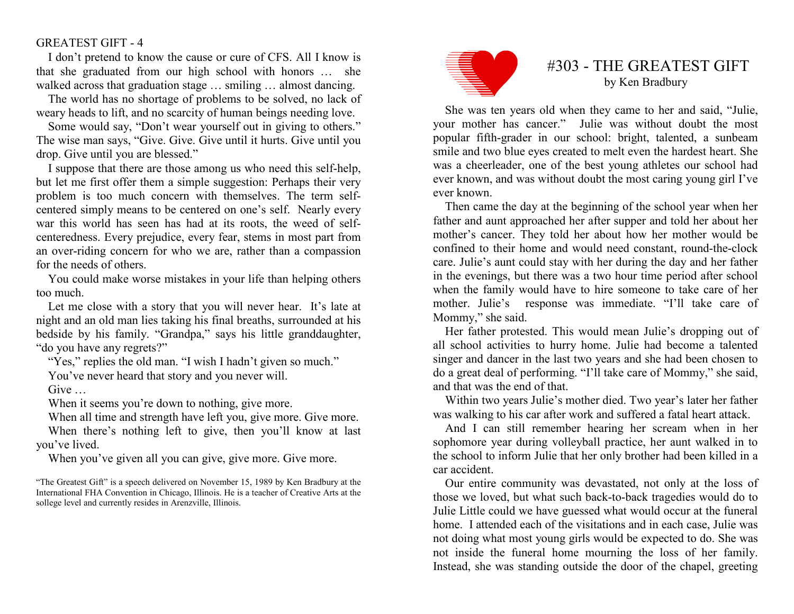## GREATEST GIFT - 4

I don't pretend to know the cause or cure of CFS. All I know is that she graduated from our high school with honors … she walked across that graduation stage ... smiling ... almost dancing.

 The world has no shortage of problems to be solved, no lack of weary heads to lift, and no scarcity of human beings needing love.

 Some would say, "Don't wear yourself out in giving to others." The wise man says, "Give. Give. Give until it hurts. Give until you drop. Give until you are blessed."

 I suppose that there are those among us who need this self-help, but let me first offer them a simple suggestion: Perhaps their very problem is too much concern with themselves. The term selfcentered simply means to be centered on one's self. Nearly every war this world has seen has had at its roots, the weed of selfcenteredness. Every prejudice, every fear, stems in most part from an over-riding concern for who we are, rather than a compassion for the needs of others.

 You could make worse mistakes in your life than helping others too much.

 Let me close with a story that you will never hear. It's late at night and an old man lies taking his final breaths, surrounded at his bedside by his family. "Grandpa," says his little granddaughter, "do you have any regrets?"

"Yes," replies the old man. "I wish I hadn't given so much."

You've never heard that story and you never will.

Give  $\qquad \qquad$ 

When it seems you're down to nothing, give more.

 When all time and strength have left you, give more. Give more. When there's nothing left to give, then you'll know at last you've lived.

When you've given all you can give, give more. Give more.



## #303 - THE GREATEST GIFT by Ken Bradbury

She was ten years old when they came to her and said, "Julie, your mother has cancer." Julie was without doubt the most popular fifth-grader in our school: bright, talented, a sunbeam smile and two blue eyes created to melt even the hardest heart. She was a cheerleader, one of the best young athletes our school had ever known, and was without doubt the most caring young girl I've ever known.

 Then came the day at the beginning of the school year when her father and aunt approached her after supper and told her about her mother's cancer. They told her about how her mother would be confined to their home and would need constant, round-the-clock care. Julie's aunt could stay with her during the day and her father in the evenings, but there was a two hour time period after school when the family would have to hire someone to take care of her mother. Julie's response was immediate. "I'll take care of Mommy," she said.

 Her father protested. This would mean Julie's dropping out of all school activities to hurry home. Julie had become a talented singer and dancer in the last two years and she had been chosen to do a great deal of performing. "I'll take care of Mommy," she said, and that was the end of that.

 Within two years Julie's mother died. Two year's later her father was walking to his car after work and suffered a fatal heart attack.

 And I can still remember hearing her scream when in her sophomore year during volleyball practice, her aunt walked in to the school to inform Julie that her only brother had been killed in a car accident.

 Our entire community was devastated, not only at the loss of those we loved, but what such back-to-back tragedies would do to Julie Little could we have guessed what would occur at the funeral home. I attended each of the visitations and in each case, Julie was not doing what most young girls would be expected to do. She was not inside the funeral home mourning the loss of her family. Instead, she was standing outside the door of the chapel, greeting

<sup>&</sup>quot;The Greatest Gift" is a speech delivered on November 15, 1989 by Ken Bradbury at the International FHA Convention in Chicago, Illinois. He is a teacher of Creative Arts at the sollege level and currently resides in Arenzville, Illinois.